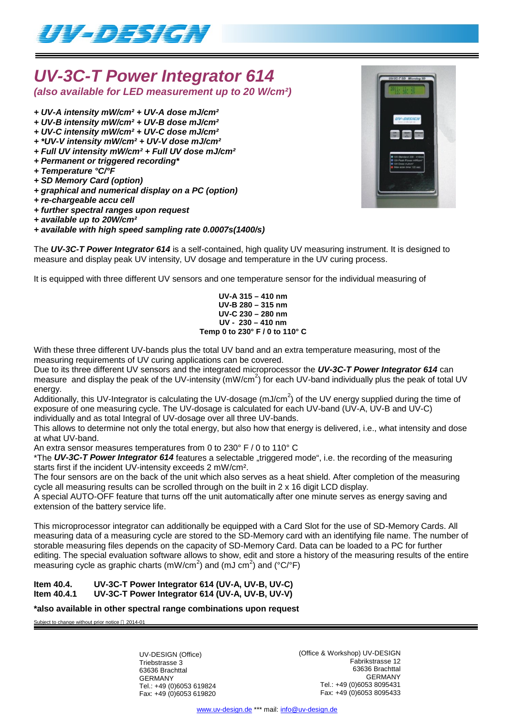

# *UV-3C-T Power Integrator 614 (also available for LED measurement up to 20 W/cm²)*

- *+ UV-A intensity mW/cm² + UV-A dose mJ/cm²*
- *+ UV-B intensity mW/cm² + UV-B dose mJ/cm²*
- *+ UV-C intensity mW/cm² + UV-C dose mJ/cm²*
- *+ \*UV-V intensity mW/cm² + UV-V dose mJ/cm²*
- *+ Full UV intensity mW/cm² + Full UV dose mJ/cm²*
- *+ Permanent or triggered recording\**
- *+ Temperature °C/°F*
- *+ SD Memory Card (option)*
- *+ graphical and numerical display on a PC (option)*
- *+ re-chargeable accu cell*
- *+ further spectral ranges upon request*
- *+ available up to 20W/cm²*

## *+ available with high speed sampling rate 0.0007s(1400/s)*

The *UV-3C-T Power Integrator 614* is a self-contained, high quality UV measuring instrument. It is designed to measure and display peak UV intensity, UV dosage and temperature in the UV curing process.

It is equipped with three different UV sensors and one temperature sensor for the individual measuring of

**UV-A 315 – 410 nm UV-B 280 – 315 nm UV-C 230 – 280 nm UV - 230 – 410 nm Temp 0 to 230° F / 0 to 110° C**

With these three different UV-bands plus the total UV band and an extra temperature measuring, most of the measuring requirements of UV curing applications can be covered.

Due to its three different UV sensors and the integrated microprocessor the *UV-3C-T Power Integrator 614* can measure and display the peak of the UV-intensity (mW/cm<sup>2</sup>) for each UV-band individually plus the peak of total UV energy.

Additionally, this UV-Integrator is calculating the UV-dosage (mJ/cm<sup>2</sup>) of the UV energy supplied during the time of exposure of one measuring cycle. The UV-dosage is calculated for each UV-band (UV-A, UV-B and UV-C) individually and as total Integral of UV-dosage over all three UV-bands.

This allows to determine not only the total energy, but also how that energy is delivered, i.e., what intensity and dose at what UV-band.

An extra sensor measures temperatures from 0 to 230° F / 0 to 110° C

\*The UV-3C-T Power Integrator 614 features a selectable "triggered mode", i.e. the recording of the measuring starts first if the incident UV-intensity exceeds 2 mW/cm².

The four sensors are on the back of the unit which also serves as a heat shield. After completion of the measuring cycle all measuring results can be scrolled through on the built in 2 x 16 digit LCD display.

A special AUTO-OFF feature that turns off the unit automatically after one minute serves as energy saving and extension of the battery service life.

This microprocessor integrator can additionally be equipped with a Card Slot for the use of SD-Memory Cards. All measuring data of a measuring cycle are stored to the SD-Memory card with an identifying file name. The number of storable measuring files depends on the capacity of SD-Memory Card. Data can be loaded to a PC for further editing. The special evaluation software allows to show, edit and store a history of the measuring results of the entire measuring cycle as graphic charts (mW/cm<sup>2</sup>) and (mJ cm<sup>2</sup>) and (°C/°F)

#### **Item 40.4. UV-3C-T Power Integrator 614 (UV-A, UV-B, UV-C) Item 40.4.1 UV-3C-T Power Integrator 614 (UV-A, UV-B, UV-V)**

**\*also available in other spectral range combinations upon request**

Subject to change without prior notice @ 2014-01

UV-DESIGN (Office) Triebstrasse 3 63636 Brachttal GERMANY Tel.: +49 (0)6053 619824 Fax: +49 (0)6053 619820 (Office & Workshop) UV-DESIGN Fabrikstrasse 12 63636 Brachttal GERMANY Tel.: +49 (0)6053 8095431 Fax: +49 (0)6053 8095433